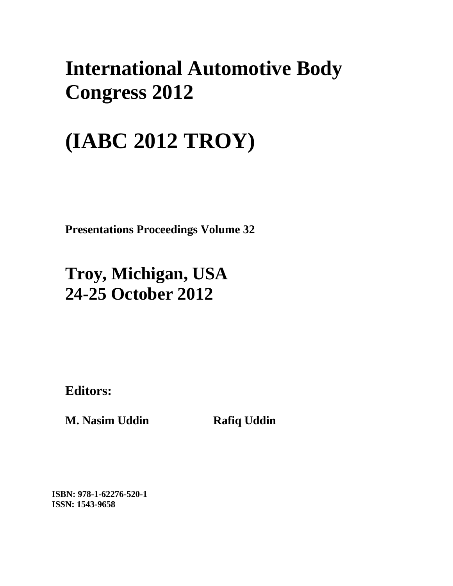## **International Automotive Body Congress 2012**

# **(IABC 2012 TROY)**

**Presentations Proceedings Volume 32**

### **Troy, Michigan, USA 24-25 October 2012**

**Editors:** 

**M. Nasim Uddin Rafiq Uddin** 

**ISBN: 978-1-62276-520-1 ISSN: 1543-9658**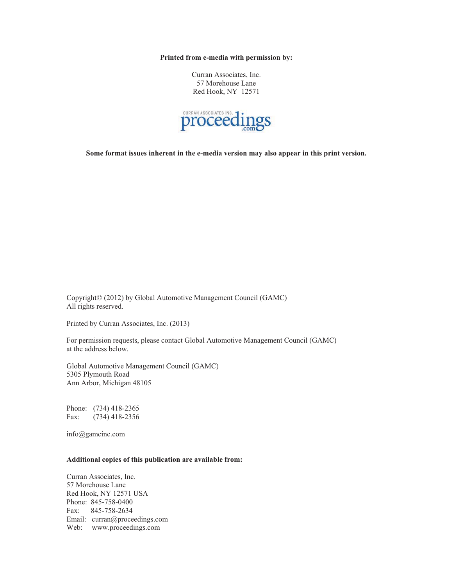**Printed from e-media with permission by:** 

Curran Associates, Inc. 57 Morehouse Lane Red Hook, NY 12571



**Some format issues inherent in the e-media version may also appear in this print version.** 

Copyright© (2012) by Global Automotive Management Council (GAMC) All rights reserved.

Printed by Curran Associates, Inc. (2013)

For permission requests, please contact Global Automotive Management Council (GAMC) at the address below.

Global Automotive Management Council (GAMC) 5305 Plymouth Road Ann Arbor, Michigan 48105

Phone: (734) 418-2365 Fax: (734) 418-2356

info@gamcinc.com

#### **Additional copies of this publication are available from:**

Curran Associates, Inc. 57 Morehouse Lane Red Hook, NY 12571 USA Phone: 845-758-0400 Fax: 845-758-2634 Email: curran@proceedings.com Web: www.proceedings.com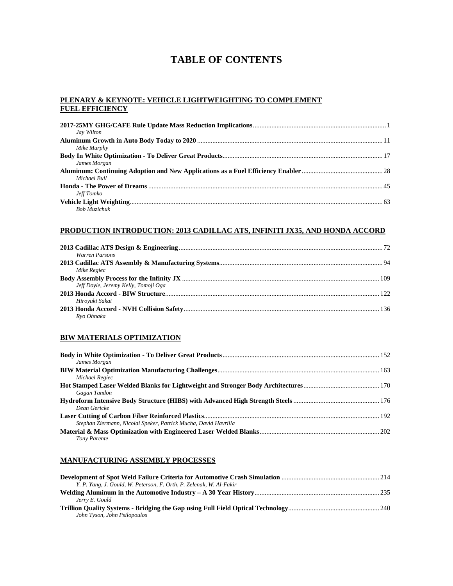### **TABLE OF CONTENTS**

#### **PLENARY & KEYNOTE: VEHICLE LIGHTWEIGHTING TO COMPLEMENT FUEL EFFICIENCY**

| Jay Wilton          |  |
|---------------------|--|
|                     |  |
| Mike Murphy         |  |
|                     |  |
| James Morgan        |  |
|                     |  |
| Michael Bull        |  |
|                     |  |
| Jeff Tomko          |  |
|                     |  |
| <b>Bob Muzichuk</b> |  |

#### **PRODUCTION INTRODUCTION: 2013 CADILLAC ATS, INFINITI JX35, AND HONDA ACCORD**

| Warren Parsons                       |  |
|--------------------------------------|--|
|                                      |  |
| Mike Regiec                          |  |
|                                      |  |
| Jeff Dovle, Jeremy Kelly, Tomoji Oga |  |
|                                      |  |
| Hirovuki Sakai                       |  |
|                                      |  |
| Rvo Ohnaka                           |  |

#### **BIW MATERIALS OPTIMIZATION**

| James Morgan                                                    |  |
|-----------------------------------------------------------------|--|
|                                                                 |  |
| Michael Regiec                                                  |  |
|                                                                 |  |
| Gagan Tandon                                                    |  |
|                                                                 |  |
| Dean Gericke                                                    |  |
|                                                                 |  |
| Stephan Ziermann, Nicolai Speker, Patrick Mucha, David Havrilla |  |
|                                                                 |  |
| Tony Parente                                                    |  |

#### **MANUFACTURING ASSEMBLY PROCESSES**

| Y. P. Yang, J. Gould, W. Peterson, F. Orth, P. Zelenak, W. Al-Fakir |  |
|---------------------------------------------------------------------|--|
|                                                                     |  |
| Jerry E. Gould                                                      |  |
|                                                                     |  |
| John Tyson, John Psilopoulos                                        |  |